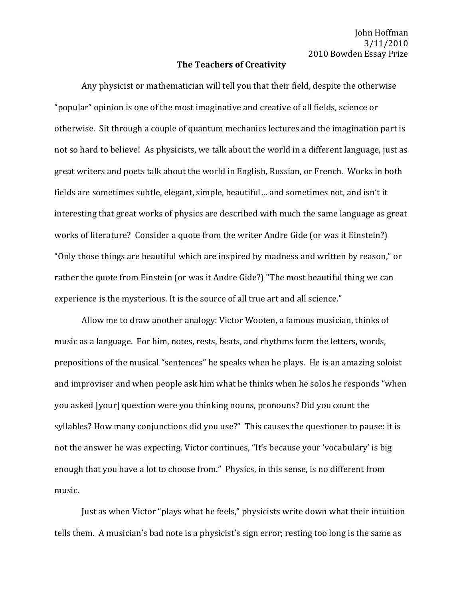John Hoffman 3/11/2010 2010 Bowden Essay Prize

## **The Teachers of Creativity**

Any physicist or mathematician will tell you that their field, despite the otherwise "popular" opinion is one of the most imaginative and creative of all fields, science or otherwise. Sit through a couple of quantum mechanics lectures and the imagination part is not so hard to believe! As physicists, we talk about the world in a different language, just as great writers and poets talk about the world in English, Russian, or French. Works in both fields are sometimes subtle, elegant, simple, beautiful... and sometimes not, and isn't it interesting that great works of physics are described with much the same language as great works of literature? Consider a quote from the writer Andre Gide (or was it Einstein?) "Only those things are beautiful which are inspired by madness and written by reason," or rather the quote from Einstein (or was it Andre Gide?) "The most beautiful thing we can experience is the mysterious. It is the source of all true art and all science."

Allow me to draw another analogy: Victor Wooten, a famous musician, thinks of music as a language. For him, notes, rests, beats, and rhythms form the letters, words, prepositions of the musical "sentences" he speaks when he plays. He is an amazing soloist and improviser and when people ask him what he thinks when he solos he responds "when you asked [your] question were you thinking nouns, pronouns? Did you count the syllables? How many conjunctions did you use?" This causes the questioner to pause: it is not the answer he was expecting. Victor continues, "It's because your 'vocabulary' is big enough that you have a lot to choose from." Physics, in this sense, is no different from music.

Just as when Victor "plays what he feels," physicists write down what their intuition tells them. A musician's bad note is a physicist's sign error; resting too long is the same as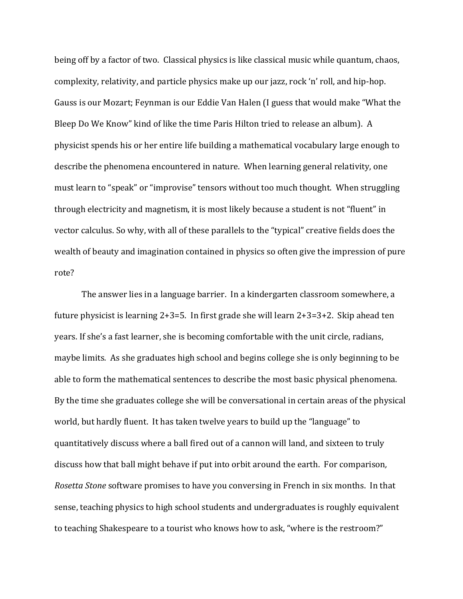being off by a factor of two. Classical physics is like classical music while quantum, chaos, complexity, relativity, and particle physics make up our jazz, rock 'n' roll, and hip-hop. Gauss is our Mozart; Feynman is our Eddie Van Halen (I guess that would make "What the Bleep Do We Know" kind of like the time Paris Hilton tried to release an album). A physicist spends his or her entire life building a mathematical vocabulary large enough to describe the phenomena encountered in nature. When learning general relativity, one must learn to "speak" or "improvise" tensors without too much thought. When struggling through electricity and magnetism, it is most likely because a student is not "fluent" in vector calculus. So why, with all of these parallels to the "typical" creative fields does the wealth of beauty and imagination contained in physics so often give the impression of pure rote?

The answer lies in a language barrier. In a kindergarten classroom somewhere, a future physicist is learning 2+3=5. In first grade she will learn  $2+3=3+2$ . Skip ahead ten years. If she's a fast learner, she is becoming comfortable with the unit circle, radians, maybe limits. As she graduates high school and begins college she is only beginning to be able to form the mathematical sentences to describe the most basic physical phenomena. By the time she graduates college she will be conversational in certain areas of the physical world, but hardly fluent. It has taken twelve years to build up the "language" to quantitatively discuss where a ball fired out of a cannon will land, and sixteen to truly discuss how that ball might behave if put into orbit around the earth. For comparison, *Rosetta Stone* software promises to have you conversing in French in six months. In that sense, teaching physics to high school students and undergraduates is roughly equivalent to teaching Shakespeare to a tourist who knows how to ask, "where is the restroom?"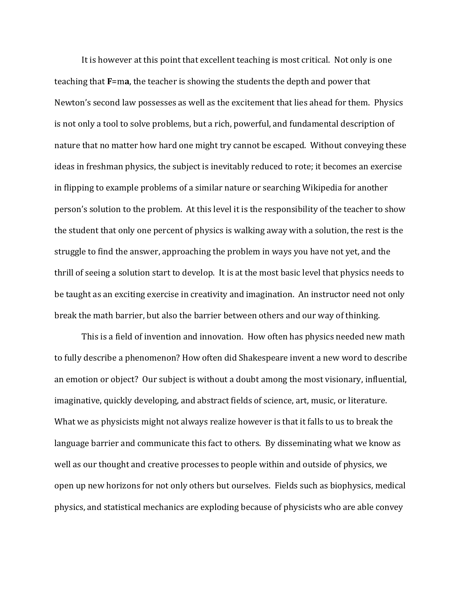It is however at this point that excellent teaching is most critical. Not only is one teaching that  $\mathbf{F}$ =m**a**, the teacher is showing the students the depth and power that Newton's second law possesses as well as the excitement that lies ahead for them. Physics is not only a tool to solve problems, but a rich, powerful, and fundamental description of nature that no matter how hard one might try cannot be escaped. Without conveying these ideas in freshman physics, the subject is inevitably reduced to rote; it becomes an exercise in flipping to example problems of a similar nature or searching Wikipedia for another person's solution to the problem. At this level it is the responsibility of the teacher to show the student that only one percent of physics is walking away with a solution, the rest is the struggle to find the answer, approaching the problem in ways you have not yet, and the thrill of seeing a solution start to develop. It is at the most basic level that physics needs to be taught as an exciting exercise in creativity and imagination. An instructor need not only break the math barrier, but also the barrier between others and our way of thinking.

This is a field of invention and innovation. How often has physics needed new math to fully describe a phenomenon? How often did Shakespeare invent a new word to describe an emotion or object? Our subject is without a doubt among the most visionary, influential, imaginative, quickly developing, and abstract fields of science, art, music, or literature. What we as physicists might not always realize however is that it falls to us to break the language barrier and communicate this fact to others. By disseminating what we know as well as our thought and creative processes to people within and outside of physics, we open up new horizons for not only others but ourselves. Fields such as biophysics, medical physics, and statistical mechanics are exploding because of physicists who are able convey